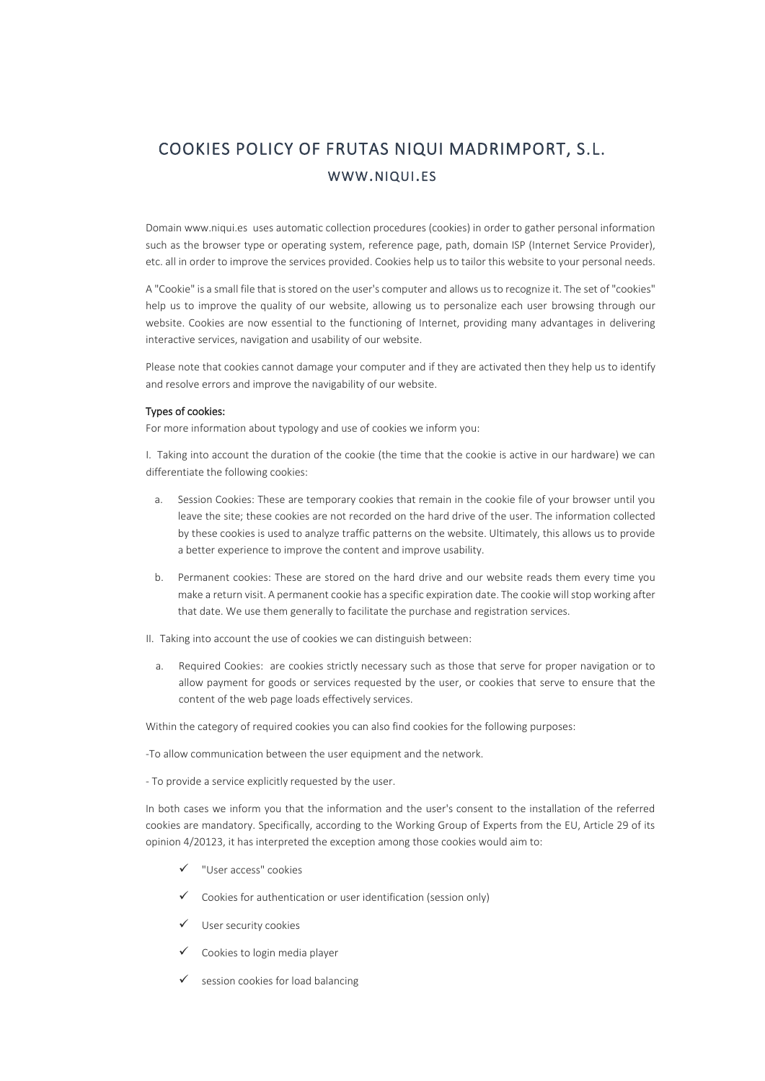## COOKIES POLICY OF FRUTAS NIQUI MADRIMPORT, S.L. WWW.NIQUI.ES

Domain www.niqui.es uses automatic collection procedures (cookies) in order to gather personal information such as the browser type or operating system, reference page, path, domain ISP (Internet Service Provider), etc. all in order to improve the services provided. Cookies help us to tailor this website to your personal needs.

A "Cookie" is a small file that is stored on the user's computer and allows us to recognize it. The set of "cookies" help us to improve the quality of our website, allowing us to personalize each user browsing through our website. Cookies are now essential to the functioning of Internet, providing many advantages in delivering interactive services, navigation and usability of our website.

Please note that cookies cannot damage your computer and if they are activated then they help us to identify and resolve errors and improve the navigability of our website.

## Types of cookies:

For more information about typology and use of cookies we inform you:

I. Taking into account the duration of the cookie (the time that the cookie is active in our hardware) we can differentiate the following cookies:

- a. Session Cookies: These are temporary cookies that remain in the cookie file of your browser until you leave the site; these cookies are not recorded on the hard drive of the user. The information collected by these cookies is used to analyze traffic patterns on the website. Ultimately, this allows us to provide a better experience to improve the content and improve usability.
- b. Permanent cookies: These are stored on the hard drive and our website reads them every time you make a return visit. A permanent cookie has a specific expiration date. The cookie will stop working after that date. We use them generally to facilitate the purchase and registration services.
- II. Taking into account the use of cookies we can distinguish between:
	- a. Required Cookies: are cookies strictly necessary such as those that serve for proper navigation or to allow payment for goods or services requested by the user, or cookies that serve to ensure that the content of the web page loads effectively services.

Within the category of required cookies you can also find cookies for the following purposes:

-To allow communication between the user equipment and the network.

- To provide a service explicitly requested by the user.

In both cases we inform you that the information and the user's consent to the installation of the referred cookies are mandatory. Specifically, according to the Working Group of Experts from the EU, Article 29 of its opinion 4/20123, it has interpreted the exception among those cookies would aim to:

- ✓ "User access" cookies
- $\checkmark$  Cookies for authentication or user identification (session only)
- ✓ User security cookies
- ✓ Cookies to login media player
- session cookies for load balancing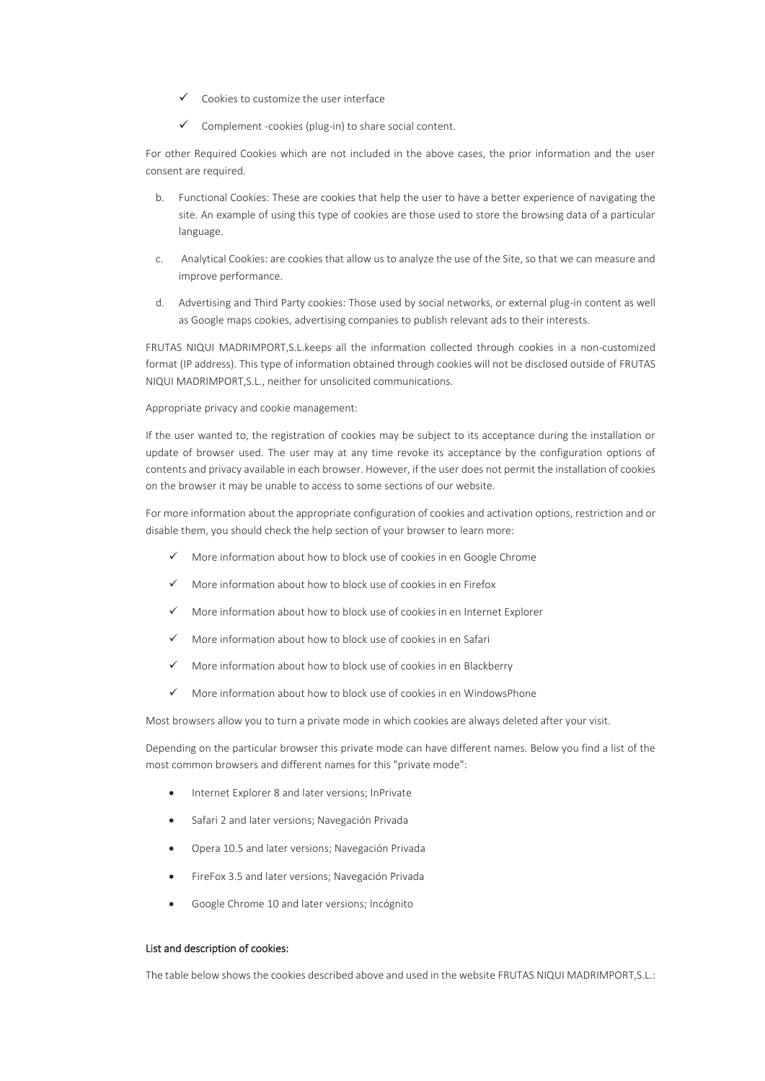- Cookies to customize the user interface
- Complement -cookies (plug-in) to share social content.

For other Required Cookies which are not included in the above cases, the prior information and the user consent are required.

- b. Functional Cookies: These are cookies that help the user to have a better experience of navigating the site. An example of using this type of cookies are those used to store the browsing data of a particular language.
- c. Analytical Cookies: are cookies that allow us to analyze the use of the Site, so that we can measure and improve performance.
- d. Advertising and Third Party cookies: Those used by social networks, or external plug-in content as well as Google maps cookies, advertising companies to publish relevant ads to their interests.

FRUTAS NIQUI MADRIMPORT,S.L.keeps all the information collected through cookies in a non-customized format (IP address). This type of information obtained through cookies will not be disclosed outside of FRUTAS NIQUI MADRIMPORT,S.L., neither for unsolicited communications.

Appropriate privacy and cookie management:

If the user wanted to, the registration of cookies may be subject to its acceptance during the installation or update of browser used. The user may at any time revoke its acceptance by the configuration options of contents and privacy available in each browser. However, if the user does not permit the installation of cookies on the browser it may be unable to access to some sections of our website.

For more information about the appropriate configuration of cookies and activation options, restriction and or disable them, you should check the help section of your browser to learn more:

- More information about how to block use of cookies in en [Google Chrome](https://support.google.com/chrome/answer/95647?hl=es)
- More information about how to block use of cookies in en [Firefox](http://support.mozilla.org/es/kb/habilitar-y-deshabilitar-cookies-que-los-sitios-we?esab=a&s=cookies&r=7&as=s)
- More information about how to block use of cookies in e[n Internet Explorer](http://windows.microsoft.com/es-es/windows7/how-to-manage-cookies-in-internet-explorer-9)
- More information about how to block use of cookies in en [Safari](http://support.apple.com/kb/HT1677?viewlocale=es_ES)
- More information about how to block use of cookies in en [Blackberry](http://docs.blackberry.com/en/smartphone_users/deliverables/32004/Turn_off_cookies_in_the_browser_60_1072866_11.jsp)
- More information about how to block use of cookies in en [WindowsPhone](http://www.windowsphone.com/en-us/how-to/wp7/web/changing-privacy-and-other-browser-settings)

Most browsers allow you to turn a private mode in which cookies are always deleted after your visit.

Depending on the particular browser this private mode can have different names. Below you find a list of the most common browsers and different names for this "private mode":

- Internet Explorer 8 and later versions; InPrivate
- Safari 2 and later versions; Navegación Privada
- Opera 10.5 and later versions; Navegación Privada
- FireFox 3.5 and later versions; Navegación Privada
- Google Chrome 10 and later versions; Incógnito

## List and description of cookies:

The table below shows the cookies described above and used in the website FRUTAS NIQUI MADRIMPORT,S.L.: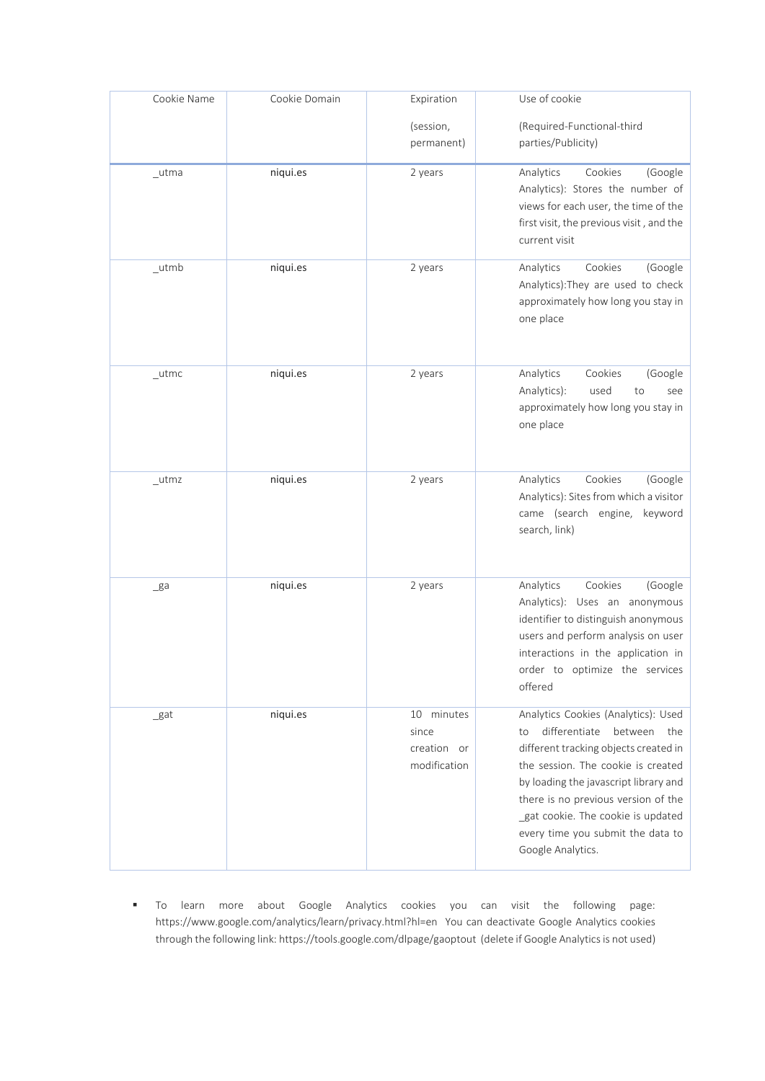| Cookie Name               | Cookie Domain | Expiration                                         | Use of cookie                                                                                                                                                                                                                                                                                                                               |
|---------------------------|---------------|----------------------------------------------------|---------------------------------------------------------------------------------------------------------------------------------------------------------------------------------------------------------------------------------------------------------------------------------------------------------------------------------------------|
|                           |               | (session,<br>permanent)                            | (Required-Functional-third<br>parties/Publicity)                                                                                                                                                                                                                                                                                            |
| $_{\_}$ utma              | niqui.es      | 2 years                                            | Cookies<br>Analytics<br>(Google<br>Analytics): Stores the number of<br>views for each user, the time of the<br>first visit, the previous visit, and the<br>current visit                                                                                                                                                                    |
| $_{\_}$ utmb              | niqui.es      | 2 years                                            | Cookies<br>Analytics<br>(Google<br>Analytics): They are used to check<br>approximately how long you stay in<br>one place                                                                                                                                                                                                                    |
| $_{\_}$ utmc              | niqui.es      | 2 years                                            | Cookies<br>Analytics<br>(Google<br>used<br>Analytics):<br>to<br>see<br>approximately how long you stay in<br>one place                                                                                                                                                                                                                      |
| $_{\rm \_utmz}$           | niqui.es      | 2 years                                            | Cookies<br>Analytics<br>(Google<br>Analytics): Sites from which a visitor<br>came (search engine, keyword<br>search, link)                                                                                                                                                                                                                  |
| $\mathsf{g}$ a            | niqui.es      | 2 years                                            | Cookies<br>Analytics<br>(Google<br>Analytics): Uses an anonymous<br>identifier to distinguish anonymous<br>users and perform analysis on user<br>interactions in the application in<br>order to optimize the services<br>offered                                                                                                            |
| $\mathsf{B}^{\mathsf{a}}$ | niqui.es      | 10 minutes<br>since<br>creation or<br>modification | Analytics Cookies (Analytics): Used<br>differentiate<br>between<br>the<br>to<br>different tracking objects created in<br>the session. The cookie is created<br>by loading the javascript library and<br>there is no previous version of the<br>_gat cookie. The cookie is updated<br>every time you submit the data to<br>Google Analytics. |

▪ To learn more about Google Analytics cookies you can visit the following page: <https://www.google.com/analytics/learn/privacy.html?hl=en>You can deactivate Google Analytics cookies through the following link[: https://tools.google.com/dlpage/gaoptout](https://tools.google.com/dlpage/gaoptout) (delete if Google Analytics is not used)